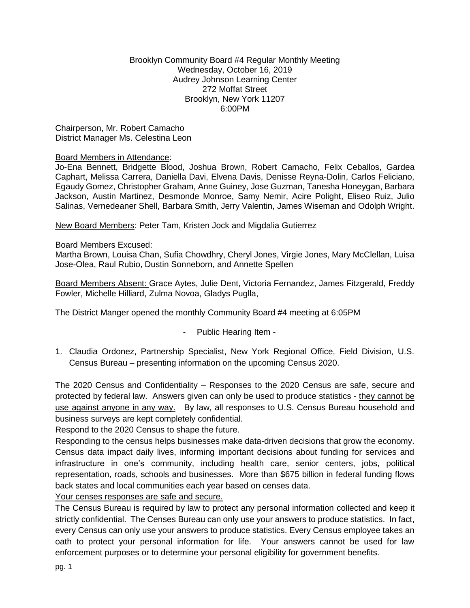#### Brooklyn Community Board #4 Regular Monthly Meeting Wednesday, October 16, 2019 Audrey Johnson Learning Center 272 Moffat Street Brooklyn, New York 11207 6:00PM

Chairperson, Mr. Robert Camacho District Manager Ms. Celestina Leon

# Board Members in Attendance:

Jo-Ena Bennett, Bridgette Blood, Joshua Brown, Robert Camacho, Felix Ceballos, Gardea Caphart, Melissa Carrera, Daniella Davi, Elvena Davis, Denisse Reyna-Dolin, Carlos Feliciano, Egaudy Gomez, Christopher Graham, Anne Guiney, Jose Guzman, Tanesha Honeygan, Barbara Jackson, Austin Martinez, Desmonde Monroe, Samy Nemir, Acire Polight, Eliseo Ruiz, Julio Salinas, Vernedeaner Shell, Barbara Smith, Jerry Valentin, James Wiseman and Odolph Wright.

New Board Members: Peter Tam, Kristen Jock and Migdalia Gutierrez

#### Board Members Excused:

Martha Brown, Louisa Chan, Sufia Chowdhry, Cheryl Jones, Virgie Jones, Mary McClellan, Luisa Jose-Olea, Raul Rubio, Dustin Sonneborn, and Annette Spellen

Board Members Absent: Grace Aytes, Julie Dent, Victoria Fernandez, James Fitzgerald, Freddy Fowler, Michelle Hilliard, Zulma Novoa, Gladys Puglla,

The District Manger opened the monthly Community Board #4 meeting at 6:05PM

- Public Hearing Item -
- 1. Claudia Ordonez, Partnership Specialist, New York Regional Office, Field Division, U.S. Census Bureau – presenting information on the upcoming Census 2020.

The 2020 Census and Confidentiality – Responses to the 2020 Census are safe, secure and protected by federal law. Answers given can only be used to produce statistics - they cannot be use against anyone in any way. By law, all responses to U.S. Census Bureau household and business surveys are kept completely confidential.

# Respond to the 2020 Census to shape the future.

Responding to the census helps businesses make data-driven decisions that grow the economy. Census data impact daily lives, informing important decisions about funding for services and infrastructure in one's community, including health care, senior centers, jobs, political representation, roads, schools and businesses. More than \$675 billion in federal funding flows back states and local communities each year based on censes data.

Your censes responses are safe and secure.

The Census Bureau is required by law to protect any personal information collected and keep it strictly confidential. The Censes Bureau can only use your answers to produce statistics. In fact, every Census can only use your answers to produce statistics. Every Census employee takes an oath to protect your personal information for life. Your answers cannot be used for law enforcement purposes or to determine your personal eligibility for government benefits.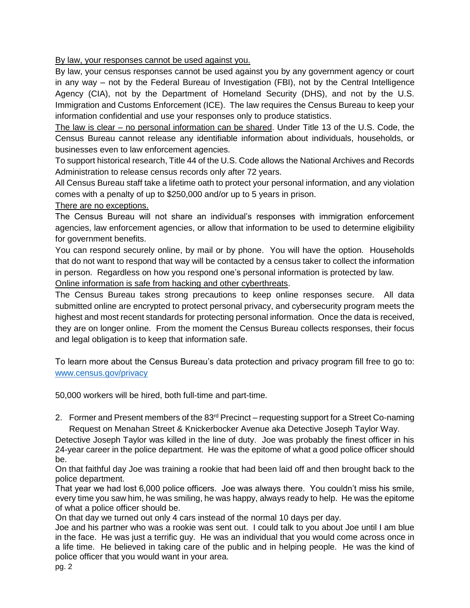By law, your responses cannot be used against you.

By law, your census responses cannot be used against you by any government agency or court in any way – not by the Federal Bureau of Investigation (FBI), not by the Central Intelligence Agency (CIA), not by the Department of Homeland Security (DHS), and not by the U.S. Immigration and Customs Enforcement (ICE). The law requires the Census Bureau to keep your information confidential and use your responses only to produce statistics.

The law is clear – no personal information can be shared. Under Title 13 of the U.S. Code, the Census Bureau cannot release any identifiable information about individuals, households, or businesses even to law enforcement agencies.

To support historical research, Title 44 of the U.S. Code allows the National Archives and Records Administration to release census records only after 72 years.

All Census Bureau staff take a lifetime oath to protect your personal information, and any violation comes with a penalty of up to \$250,000 and/or up to 5 years in prison.

There are no exceptions.

The Census Bureau will not share an individual's responses with immigration enforcement agencies, law enforcement agencies, or allow that information to be used to determine eligibility for government benefits.

You can respond securely online, by mail or by phone. You will have the option. Households that do not want to respond that way will be contacted by a census taker to collect the information in person. Regardless on how you respond one's personal information is protected by law.

Online information is safe from hacking and other cyberthreats.

The Census Bureau takes strong precautions to keep online responses secure. All data submitted online are encrypted to protect personal privacy, and cybersecurity program meets the highest and most recent standards for protecting personal information. Once the data is received, they are on longer online. From the moment the Census Bureau collects responses, their focus and legal obligation is to keep that information safe.

To learn more about the Census Bureau's data protection and privacy program fill free to go to: [www.census.gov/privacy](http://www.census.gov/privacy)

50,000 workers will be hired, both full-time and part-time.

2. Former and Present members of the 83<sup>rd</sup> Precinct – requesting support for a Street Co-naming Request on Menahan Street & Knickerbocker Avenue aka Detective Joseph Taylor Way.

Detective Joseph Taylor was killed in the line of duty. Joe was probably the finest officer in his 24-year career in the police department. He was the epitome of what a good police officer should be.

On that faithful day Joe was training a rookie that had been laid off and then brought back to the police department.

That year we had lost 6,000 police officers. Joe was always there. You couldn't miss his smile, every time you saw him, he was smiling, he was happy, always ready to help. He was the epitome of what a police officer should be.

On that day we turned out only 4 cars instead of the normal 10 days per day.

Joe and his partner who was a rookie was sent out. I could talk to you about Joe until I am blue in the face. He was just a terrific guy. He was an individual that you would come across once in a life time. He believed in taking care of the public and in helping people. He was the kind of police officer that you would want in your area.

pg. 2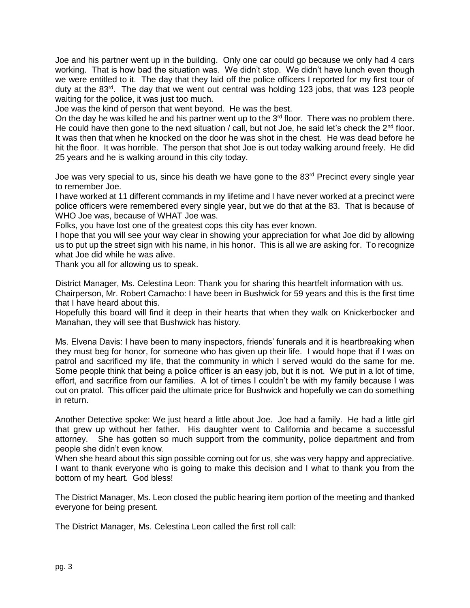Joe and his partner went up in the building. Only one car could go because we only had 4 cars working. That is how bad the situation was. We didn't stop. We didn't have lunch even though we were entitled to it. The day that they laid off the police officers I reported for my first tour of duty at the 83<sup>rd</sup>. The day that we went out central was holding 123 jobs, that was 123 people waiting for the police, it was just too much.

Joe was the kind of person that went beyond. He was the best.

On the day he was killed he and his partner went up to the  $3<sup>rd</sup>$  floor. There was no problem there. He could have then gone to the next situation / call, but not Joe, he said let's check the  $2^{nd}$  floor. It was then that when he knocked on the door he was shot in the chest. He was dead before he hit the floor. It was horrible. The person that shot Joe is out today walking around freely. He did 25 years and he is walking around in this city today.

Joe was very special to us, since his death we have gone to the  $83<sup>rd</sup>$  Precinct every single year to remember Joe.

I have worked at 11 different commands in my lifetime and I have never worked at a precinct were police officers were remembered every single year, but we do that at the 83. That is because of WHO Joe was, because of WHAT Joe was.

Folks, you have lost one of the greatest cops this city has ever known.

I hope that you will see your way clear in showing your appreciation for what Joe did by allowing us to put up the street sign with his name, in his honor. This is all we are asking for. To recognize what Joe did while he was alive.

Thank you all for allowing us to speak.

District Manager, Ms. Celestina Leon: Thank you for sharing this heartfelt information with us. Chairperson, Mr. Robert Camacho: I have been in Bushwick for 59 years and this is the first time that I have heard about this.

Hopefully this board will find it deep in their hearts that when they walk on Knickerbocker and Manahan, they will see that Bushwick has history.

Ms. Elvena Davis: I have been to many inspectors, friends' funerals and it is heartbreaking when they must beg for honor, for someone who has given up their life. I would hope that if I was on patrol and sacrificed my life, that the community in which I served would do the same for me. Some people think that being a police officer is an easy job, but it is not. We put in a lot of time, effort, and sacrifice from our families. A lot of times I couldn't be with my family because I was out on pratol. This officer paid the ultimate price for Bushwick and hopefully we can do something in return.

Another Detective spoke: We just heard a little about Joe. Joe had a family. He had a little girl that grew up without her father. His daughter went to California and became a successful attorney. She has gotten so much support from the community, police department and from people she didn't even know.

When she heard about this sign possible coming out for us, she was very happy and appreciative. I want to thank everyone who is going to make this decision and I what to thank you from the bottom of my heart. God bless!

The District Manager, Ms. Leon closed the public hearing item portion of the meeting and thanked everyone for being present.

The District Manager, Ms. Celestina Leon called the first roll call: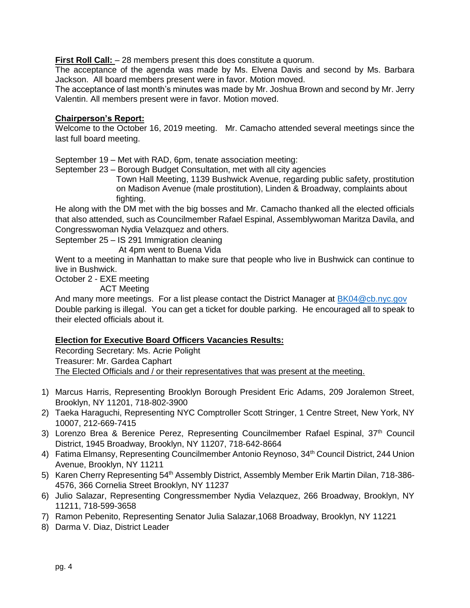**First Roll Call:**  $-28$  members present this does constitute a quorum.

The acceptance of the agenda was made by Ms. Elvena Davis and second by Ms. Barbara Jackson. All board members present were in favor. Motion moved.

The acceptance of last month's minutes was made by Mr. Joshua Brown and second by Mr. Jerry Valentin. All members present were in favor. Motion moved.

#### **Chairperson's Report:**

Welcome to the October 16, 2019 meeting. Mr. Camacho attended several meetings since the last full board meeting.

September 19 – Met with RAD, 6pm, tenate association meeting:

September 23 – Borough Budget Consultation, met with all city agencies

 Town Hall Meeting, 1139 Bushwick Avenue, regarding public safety, prostitution on Madison Avenue (male prostitution), Linden & Broadway, complaints about fighting.

He along with the DM met with the big bosses and Mr. Camacho thanked all the elected officials that also attended, such as Councilmember Rafael Espinal, Assemblywoman Maritza Davila, and Congresswoman Nydia Velazquez and others.

September 25 – IS 291 Immigration cleaning

At 4pm went to Buena Vida

Went to a meeting in Manhattan to make sure that people who live in Bushwick can continue to live in Bushwick.

October 2 - EXE meeting

ACT Meeting

And many more meetings. For a list please contact the District Manager at [BK04@cb.nyc.gov](mailto:BK04@cb.nyc.gov) Double parking is illegal. You can get a ticket for double parking. He encouraged all to speak to their elected officials about it.

# **Election for Executive Board Officers Vacancies Results:**

Recording Secretary: Ms. Acrie Polight Treasurer: Mr. Gardea Caphart The Elected Officials and / or their representatives that was present at the meeting.

- 1) Marcus Harris, Representing Brooklyn Borough President Eric Adams, 209 Joralemon Street, Brooklyn, NY 11201, 718-802-3900
- 2) Taeka Haraguchi, Representing NYC Comptroller Scott Stringer, 1 Centre Street, New York, NY 10007, 212-669-7415
- 3) Lorenzo Brea & Berenice Perez, Representing Councilmember Rafael Espinal, 37<sup>th</sup> Council District, 1945 Broadway, Brooklyn, NY 11207, 718-642-8664
- 4) Fatima Elmansy, Representing Councilmember Antonio Reynoso, 34<sup>th</sup> Council District, 244 Union Avenue, Brooklyn, NY 11211
- 5) Karen Cherry Representing 54th Assembly District, Assembly Member Erik Martin Dilan, 718-386- 4576, 366 Cornelia Street Brooklyn, NY 11237
- 6) Julio Salazar, Representing Congressmember Nydia Velazquez, 266 Broadway, Brooklyn, NY 11211, 718-599-3658
- 7) Ramon Pebenito, Representing Senator Julia Salazar,1068 Broadway, Brooklyn, NY 11221
- 8) Darma V. Diaz, District Leader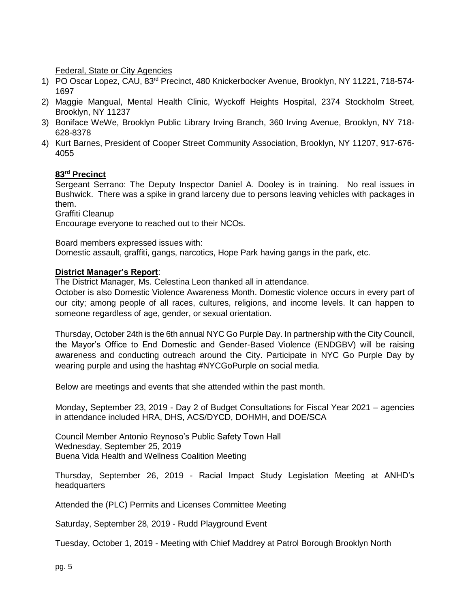Federal, State or City Agencies

- 1) PO Oscar Lopez, CAU, 83rd Precinct, 480 Knickerbocker Avenue, Brooklyn, NY 11221, 718-574- 1697
- 2) Maggie Mangual, Mental Health Clinic, Wyckoff Heights Hospital, 2374 Stockholm Street, Brooklyn, NY 11237
- 3) Boniface WeWe, Brooklyn Public Library Irving Branch, 360 Irving Avenue, Brooklyn, NY 718- 628-8378
- 4) Kurt Barnes, President of Cooper Street Community Association, Brooklyn, NY 11207, 917-676- 4055

# **83rd Precinct**

Sergeant Serrano: The Deputy Inspector Daniel A. Dooley is in training. No real issues in Bushwick. There was a spike in grand larceny due to persons leaving vehicles with packages in them.

Graffiti Cleanup

Encourage everyone to reached out to their NCOs.

Board members expressed issues with:

Domestic assault, graffiti, gangs, narcotics, Hope Park having gangs in the park, etc.

#### **District Manager's Report**:

The District Manager, Ms. Celestina Leon thanked all in attendance.

October is also Domestic Violence Awareness Month. Domestic violence occurs in every part of our city; among people of all races, cultures, religions, and income levels. It can happen to someone regardless of age, gender, or sexual orientation.

Thursday, October 24th is the 6th annual NYC Go Purple Day. In partnership with the City Council, the Mayor's Office to End Domestic and Gender-Based Violence (ENDGBV) will be raising awareness and conducting outreach around the City. Participate in NYC Go Purple Day by wearing purple and using the hashtag #NYCGoPurple on social media.

Below are meetings and events that she attended within the past month.

Monday, September 23, 2019 - Day 2 of Budget Consultations for Fiscal Year 2021 – agencies in attendance included HRA, DHS, ACS/DYCD, DOHMH, and DOE/SCA

Council Member Antonio Reynoso's Public Safety Town Hall Wednesday, September 25, 2019 Buena Vida Health and Wellness Coalition Meeting

Thursday, September 26, 2019 - Racial Impact Study Legislation Meeting at ANHD's headquarters

Attended the (PLC) Permits and Licenses Committee Meeting

Saturday, September 28, 2019 - Rudd Playground Event

Tuesday, October 1, 2019 - Meeting with Chief Maddrey at Patrol Borough Brooklyn North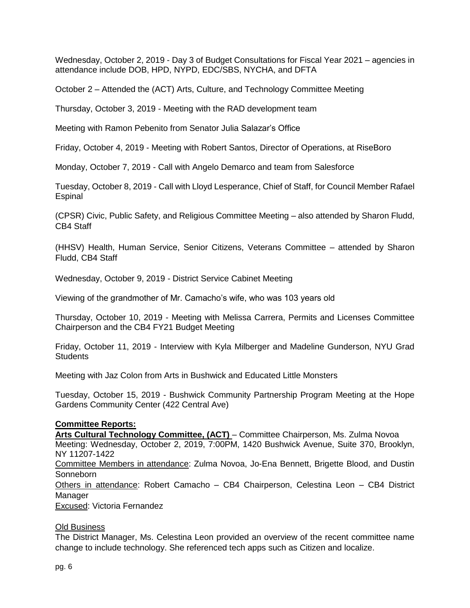Wednesday, October 2, 2019 - Day 3 of Budget Consultations for Fiscal Year 2021 – agencies in attendance include DOB, HPD, NYPD, EDC/SBS, NYCHA, and DFTA

October 2 – Attended the (ACT) Arts, Culture, and Technology Committee Meeting

Thursday, October 3, 2019 - Meeting with the RAD development team

Meeting with Ramon Pebenito from Senator Julia Salazar's Office

Friday, October 4, 2019 - Meeting with Robert Santos, Director of Operations, at RiseBoro

Monday, October 7, 2019 - Call with Angelo Demarco and team from Salesforce

Tuesday, October 8, 2019 - Call with Lloyd Lesperance, Chief of Staff, for Council Member Rafael Espinal

(CPSR) Civic, Public Safety, and Religious Committee Meeting – also attended by Sharon Fludd, CB4 Staff

(HHSV) Health, Human Service, Senior Citizens, Veterans Committee – attended by Sharon Fludd, CB4 Staff

Wednesday, October 9, 2019 - District Service Cabinet Meeting

Viewing of the grandmother of Mr. Camacho's wife, who was 103 years old

Thursday, October 10, 2019 - Meeting with Melissa Carrera, Permits and Licenses Committee Chairperson and the CB4 FY21 Budget Meeting

Friday, October 11, 2019 - Interview with Kyla Milberger and Madeline Gunderson, NYU Grad **Students** 

Meeting with Jaz Colon from Arts in Bushwick and Educated Little Monsters

Tuesday, October 15, 2019 - Bushwick Community Partnership Program Meeting at the Hope Gardens Community Center (422 Central Ave)

#### **Committee Reports:**

**Arts Cultural Technology Committee, (ACT)** – Committee Chairperson, Ms. Zulma Novoa Meeting: Wednesday, October 2, 2019, 7:00PM, 1420 Bushwick Avenue, Suite 370, Brooklyn, NY 11207-1422

Committee Members in attendance: Zulma Novoa, Jo-Ena Bennett, Brigette Blood, and Dustin Sonneborn

Others in attendance: Robert Camacho – CB4 Chairperson, Celestina Leon – CB4 District Manager

Excused: Victoria Fernandez

#### Old Business

The District Manager, Ms. Celestina Leon provided an overview of the recent committee name change to include technology. She referenced tech apps such as Citizen and localize.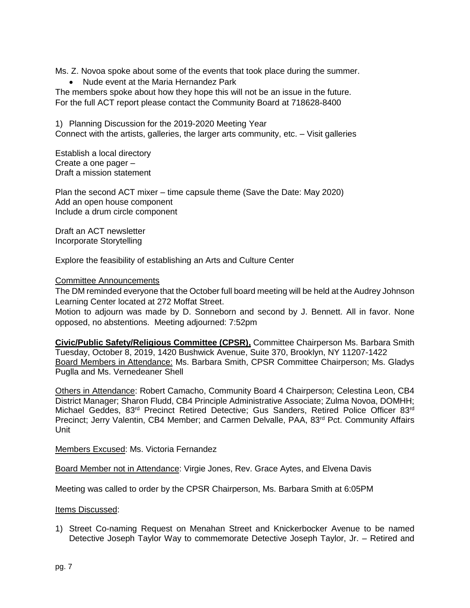Ms. Z. Novoa spoke about some of the events that took place during the summer.

• Nude event at the Maria Hernandez Park

The members spoke about how they hope this will not be an issue in the future. For the full ACT report please contact the Community Board at 718628-8400

1) Planning Discussion for the 2019-2020 Meeting Year Connect with the artists, galleries, the larger arts community, etc. – Visit galleries

Establish a local directory Create a one pager – Draft a mission statement

Plan the second ACT mixer – time capsule theme (Save the Date: May 2020) Add an open house component Include a drum circle component

Draft an ACT newsletter Incorporate Storytelling

Explore the feasibility of establishing an Arts and Culture Center

#### Committee Announcements

The DM reminded everyone that the October full board meeting will be held at the Audrey Johnson Learning Center located at 272 Moffat Street.

Motion to adjourn was made by D. Sonneborn and second by J. Bennett. All in favor. None opposed, no abstentions. Meeting adjourned: 7:52pm

**Civic/Public Safety/Religious Committee (CPSR),** Committee Chairperson Ms. Barbara Smith Tuesday, October 8, 2019, 1420 Bushwick Avenue, Suite 370, Brooklyn, NY 11207-1422 Board Members in Attendance: Ms. Barbara Smith, CPSR Committee Chairperson; Ms. Gladys Puglla and Ms. Vernedeaner Shell

Others in Attendance: Robert Camacho, Community Board 4 Chairperson; Celestina Leon, CB4 District Manager; Sharon Fludd, CB4 Principle Administrative Associate; Zulma Novoa, DOMHH; Michael Geddes, 83<sup>rd</sup> Precinct Retired Detective; Gus Sanders, Retired Police Officer 83<sup>rd</sup> Precinct; Jerry Valentin, CB4 Member; and Carmen Delvalle, PAA, 83rd Pct. Community Affairs Unit

Members Excused: Ms. Victoria Fernandez

Board Member not in Attendance: Virgie Jones, Rev. Grace Aytes, and Elvena Davis

Meeting was called to order by the CPSR Chairperson, Ms. Barbara Smith at 6:05PM

Items Discussed:

1) Street Co-naming Request on Menahan Street and Knickerbocker Avenue to be named Detective Joseph Taylor Way to commemorate Detective Joseph Taylor, Jr. – Retired and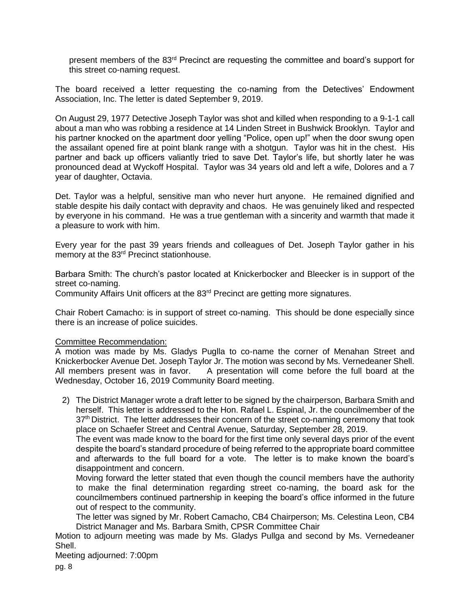present members of the 83<sup>rd</sup> Precinct are requesting the committee and board's support for this street co-naming request.

The board received a letter requesting the co-naming from the Detectives' Endowment Association, Inc. The letter is dated September 9, 2019.

On August 29, 1977 Detective Joseph Taylor was shot and killed when responding to a 9-1-1 call about a man who was robbing a residence at 14 Linden Street in Bushwick Brooklyn. Taylor and his partner knocked on the apartment door yelling "Police, open up!" when the door swung open the assailant opened fire at point blank range with a shotgun. Taylor was hit in the chest. His partner and back up officers valiantly tried to save Det. Taylor's life, but shortly later he was pronounced dead at Wyckoff Hospital. Taylor was 34 years old and left a wife, Dolores and a 7 year of daughter, Octavia.

Det. Taylor was a helpful, sensitive man who never hurt anyone. He remained dignified and stable despite his daily contact with depravity and chaos. He was genuinely liked and respected by everyone in his command. He was a true gentleman with a sincerity and warmth that made it a pleasure to work with him.

Every year for the past 39 years friends and colleagues of Det. Joseph Taylor gather in his memory at the 83rd Precinct stationhouse.

Barbara Smith: The church's pastor located at Knickerbocker and Bleecker is in support of the street co-naming.

Community Affairs Unit officers at the 83rd Precinct are getting more signatures.

Chair Robert Camacho: is in support of street co-naming. This should be done especially since there is an increase of police suicides.

#### Committee Recommendation:

A motion was made by Ms. Gladys Puglla to co-name the corner of Menahan Street and Knickerbocker Avenue Det. Joseph Taylor Jr. The motion was second by Ms. Vernedeaner Shell. All members present was in favor. A presentation will come before the full board at the Wednesday, October 16, 2019 Community Board meeting.

2) The District Manager wrote a draft letter to be signed by the chairperson, Barbara Smith and herself. This letter is addressed to the Hon. Rafael L. Espinal, Jr. the councilmember of the 37<sup>th</sup> District. The letter addresses their concern of the street co-naming ceremony that took place on Schaefer Street and Central Avenue, Saturday, September 28, 2019.

The event was made know to the board for the first time only several days prior of the event despite the board's standard procedure of being referred to the appropriate board committee and afterwards to the full board for a vote. The letter is to make known the board's disappointment and concern.

Moving forward the letter stated that even though the council members have the authority to make the final determination regarding street co-naming, the board ask for the councilmembers continued partnership in keeping the board's office informed in the future out of respect to the community.

The letter was signed by Mr. Robert Camacho, CB4 Chairperson; Ms. Celestina Leon, CB4 District Manager and Ms. Barbara Smith, CPSR Committee Chair

Motion to adjourn meeting was made by Ms. Gladys Pullga and second by Ms. Vernedeaner Shell.

Meeting adjourned: 7:00pm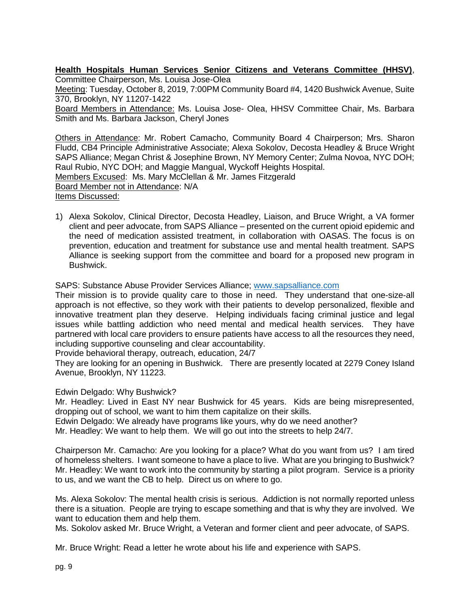**Health Hospitals Human Services Senior Citizens and Veterans Committee (HHSV)**, Committee Chairperson, Ms. Louisa Jose-Olea

Meeting: Tuesday, October 8, 2019, 7:00PM Community Board #4, 1420 Bushwick Avenue, Suite 370, Brooklyn, NY 11207-1422

Board Members in Attendance: Ms. Louisa Jose- Olea, HHSV Committee Chair, Ms. Barbara Smith and Ms. Barbara Jackson, Cheryl Jones

Others in Attendance: Mr. Robert Camacho, Community Board 4 Chairperson; Mrs. Sharon Fludd, CB4 Principle Administrative Associate; Alexa Sokolov, Decosta Headley & Bruce Wright SAPS Alliance; Megan Christ & Josephine Brown, NY Memory Center; Zulma Novoa, NYC DOH; Raul Rubio, NYC DOH; and Maggie Mangual, Wyckoff Heights Hospital. Members Excused: Ms. Mary McClellan & Mr. James Fitzgerald Board Member not in Attendance: N/A Items Discussed:

1) Alexa Sokolov, Clinical Director, Decosta Headley, Liaison, and Bruce Wright, a VA former client and peer advocate, from SAPS Alliance – presented on the current opioid epidemic and the need of medication assisted treatment, in collaboration with OASAS. The focus is on prevention, education and treatment for substance use and mental health treatment. SAPS Alliance is seeking support from the committee and board for a proposed new program in Bushwick.

SAPS: Substance Abuse Provider Services Alliance; [www.sapsalliance.com](http://www.sapsalliance.com/)

Their mission is to provide quality care to those in need. They understand that one-size-all approach is not effective, so they work with their patients to develop personalized, flexible and innovative treatment plan they deserve. Helping individuals facing criminal justice and legal issues while battling addiction who need mental and medical health services. They have partnered with local care providers to ensure patients have access to all the resources they need, including supportive counseling and clear accountability.

Provide behavioral therapy, outreach, education, 24/7

They are looking for an opening in Bushwick. There are presently located at 2279 Coney Island Avenue, Brooklyn, NY 11223.

Edwin Delgado: Why Bushwick?

Mr. Headley: Lived in East NY near Bushwick for 45 years. Kids are being misrepresented, dropping out of school, we want to him them capitalize on their skills.

Edwin Delgado: We already have programs like yours, why do we need another? Mr. Headley: We want to help them. We will go out into the streets to help 24/7.

Chairperson Mr. Camacho: Are you looking for a place? What do you want from us? I am tired of homeless shelters. I want someone to have a place to live. What are you bringing to Bushwick? Mr. Headley: We want to work into the community by starting a pilot program. Service is a priority to us, and we want the CB to help. Direct us on where to go.

Ms. Alexa Sokolov: The mental health crisis is serious. Addiction is not normally reported unless there is a situation. People are trying to escape something and that is why they are involved. We want to education them and help them.

Ms. Sokolov asked Mr. Bruce Wright, a Veteran and former client and peer advocate, of SAPS.

Mr. Bruce Wright: Read a letter he wrote about his life and experience with SAPS.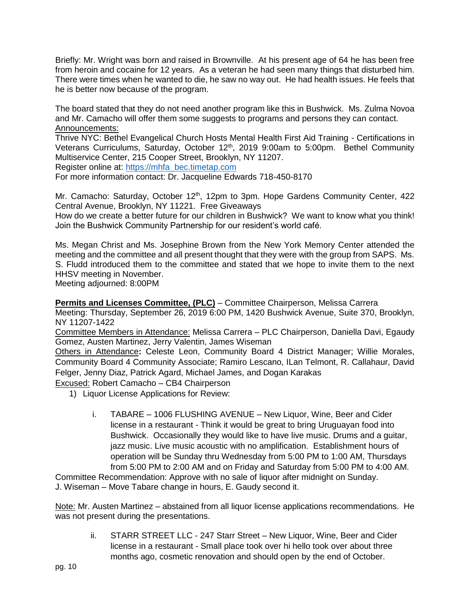Briefly: Mr. Wright was born and raised in Brownville. At his present age of 64 he has been free from heroin and cocaine for 12 years. As a veteran he had seen many things that disturbed him. There were times when he wanted to die, he saw no way out. He had health issues. He feels that he is better now because of the program.

The board stated that they do not need another program like this in Bushwick. Ms. Zulma Novoa and Mr. Camacho will offer them some suggests to programs and persons they can contact. Announcements:

Thrive NYC: Bethel Evangelical Church Hosts Mental Health First Aid Training - Certifications in Veterans Curriculums, Saturday, October 12<sup>th</sup>, 2019 9:00am to 5:00pm. Bethel Community Multiservice Center, 215 Cooper Street, Brooklyn, NY 11207.

Register online at: [https://mhfa\\_bec.timetap.com](https://mhfa_bec.timetap.com/)

For more information contact: Dr. Jacqueline Edwards 718-450-8170

Mr. Camacho: Saturday, October  $12<sup>th</sup>$ , 12pm to 3pm. Hope Gardens Community Center, 422 Central Avenue, Brooklyn, NY 11221. Free Giveaways

How do we create a better future for our children in Bushwick? We want to know what you think! Join the Bushwick Community Partnership for our resident's world café.

Ms. Megan Christ and Ms. Josephine Brown from the New York Memory Center attended the meeting and the committee and all present thought that they were with the group from SAPS. Ms. S. Fludd introduced them to the committee and stated that we hope to invite them to the next HHSV meeting in November.

Meeting adjourned: 8:00PM

**Permits and Licenses Committee, (PLC)** – Committee Chairperson, Melissa Carrera

Meeting: Thursday, September 26, 2019 6:00 PM, 1420 Bushwick Avenue, Suite 370, Brooklyn, NY 11207-1422

Committee Members in Attendance: Melissa Carrera – PLC Chairperson, Daniella Davi, Egaudy Gomez, Austen Martinez, Jerry Valentin, James Wiseman

Others in Attendance**:** Celeste Leon, Community Board 4 District Manager; Willie Morales, Community Board 4 Community Associate; Ramiro Lescano, ILan Telmont, R. Callahaur, David Felger, Jenny Diaz, Patrick Agard, Michael James, and Dogan Karakas

Excused: Robert Camacho – CB4 Chairperson

- 1) Liquor License Applications for Review:
	- i. TABARE 1006 FLUSHING AVENUE New Liquor, Wine, Beer and Cider license in a restaurant - Think it would be great to bring Uruguayan food into Bushwick. Occasionally they would like to have live music. Drums and a guitar, jazz music. Live music acoustic with no amplification. Establishment hours of operation will be Sunday thru Wednesday from 5:00 PM to 1:00 AM, Thursdays from 5:00 PM to 2:00 AM and on Friday and Saturday from 5:00 PM to 4:00 AM.

Committee Recommendation: Approve with no sale of liquor after midnight on Sunday. J. Wiseman – Move Tabare change in hours, E. Gaudy second it.

Note: Mr. Austen Martinez – abstained from all liquor license applications recommendations. He was not present during the presentations.

ii. STARR STREET LLC - 247 Starr Street – New Liquor, Wine, Beer and Cider license in a restaurant - Small place took over hi hello took over about three months ago, cosmetic renovation and should open by the end of October.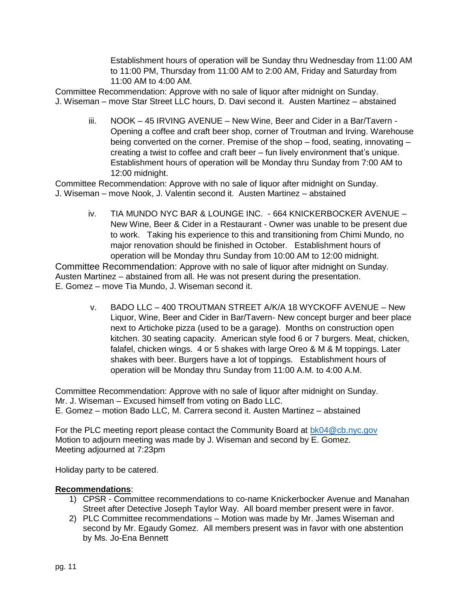Establishment hours of operation will be Sunday thru Wednesday from 11:00 AM to 11:00 PM, Thursday from 11:00 AM to 2:00 AM, Friday and Saturday from 11:00 AM to 4:00 AM.

Committee Recommendation: Approve with no sale of liquor after midnight on Sunday. J. Wiseman – move Star Street LLC hours, D. Davi second it. Austen Martinez – abstained

iii. NOOK – 45 IRVING AVENUE – New Wine, Beer and Cider in a Bar/Tavern - Opening a coffee and craft beer shop, corner of Troutman and Irving. Warehouse being converted on the corner. Premise of the shop – food, seating, innovating – creating a twist to coffee and craft beer – fun lively environment that's unique. Establishment hours of operation will be Monday thru Sunday from 7:00 AM to 12:00 midnight.

Committee Recommendation: Approve with no sale of liquor after midnight on Sunday. J. Wiseman – move Nook, J. Valentin second it. Austen Martinez – abstained

> iv. TIA MUNDO NYC BAR & LOUNGE INC. - 664 KNICKERBOCKER AVENUE – New Wine, Beer & Cider in a Restaurant - Owner was unable to be present due to work. Taking his experience to this and transitioning from Chimi Mundo, no major renovation should be finished in October. Establishment hours of operation will be Monday thru Sunday from 10:00 AM to 12:00 midnight.

Committee Recommendation: Approve with no sale of liquor after midnight on Sunday. Austen Martinez – abstained from all. He was not present during the presentation. E. Gomez – move Tia Mundo, J. Wiseman second it.

> v. BADO LLC – 400 TROUTMAN STREET A/K/A 18 WYCKOFF AVENUE – New Liquor, Wine, Beer and Cider in Bar/Tavern- New concept burger and beer place next to Artichoke pizza (used to be a garage). Months on construction open kitchen. 30 seating capacity. American style food 6 or 7 burgers. Meat, chicken, falafel, chicken wings. 4 or 5 shakes with large Oreo & M & M toppings. Later shakes with beer. Burgers have a lot of toppings. Establishment hours of operation will be Monday thru Sunday from 11:00 A.M. to 4:00 A.M.

Committee Recommendation: Approve with no sale of liquor after midnight on Sunday. Mr. J. Wiseman – Excused himself from voting on Bado LLC. E. Gomez – motion Bado LLC, M. Carrera second it. Austen Martinez – abstained

For the PLC meeting report please contact the Community Board at [bk04@cb.nyc.gov](mailto:bk04@cb.nyc.gov) Motion to adjourn meeting was made by J. Wiseman and second by E. Gomez. Meeting adjourned at 7:23pm

Holiday party to be catered.

# **Recommendations**:

- 1) CPSR Committee recommendations to co-name Knickerbocker Avenue and Manahan Street after Detective Joseph Taylor Way. All board member present were in favor.
- 2) PLC Committee recommendations Motion was made by Mr. James Wiseman and second by Mr. Egaudy Gomez. All members present was in favor with one abstention by Ms. Jo-Ena Bennett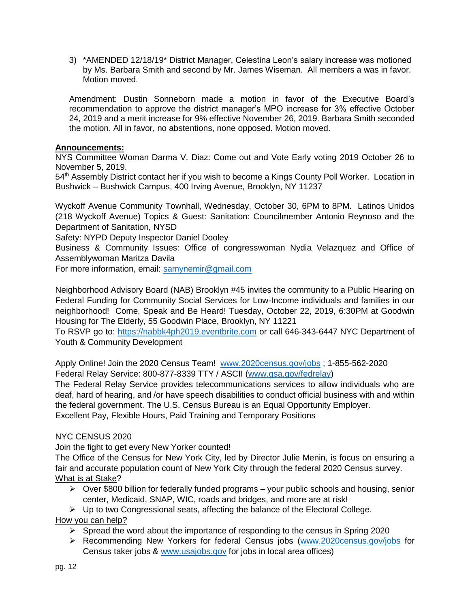3) \*AMENDED 12/18/19\* District Manager, Celestina Leon's salary increase was motioned by Ms. Barbara Smith and second by Mr. James Wiseman. All members a was in favor. Motion moved.

Amendment: Dustin Sonneborn made a motion in favor of the Executive Board's recommendation to approve the district manager's MPO increase for 3% effective October 24, 2019 and a merit increase for 9% effective November 26, 2019. Barbara Smith seconded the motion. All in favor, no abstentions, none opposed. Motion moved.

# **Announcements:**

NYS Committee Woman Darma V. Diaz: Come out and Vote Early voting 2019 October 26 to November 5, 2019.

54<sup>th</sup> Assembly District contact her if you wish to become a Kings County Poll Worker. Location in Bushwick – Bushwick Campus, 400 Irving Avenue, Brooklyn, NY 11237

Wyckoff Avenue Community Townhall, Wednesday, October 30, 6PM to 8PM. Latinos Unidos (218 Wyckoff Avenue) Topics & Guest: Sanitation: Councilmember Antonio Reynoso and the Department of Sanitation, NYSD

Safety: NYPD Deputy Inspector Daniel Dooley

Business & Community Issues: Office of congresswoman Nydia Velazquez and Office of Assemblywoman Maritza Davila

For more information, email: [samynemir@gmail.com](mailto:samynemir@gmail.com)

Neighborhood Advisory Board (NAB) Brooklyn #45 invites the community to a Public Hearing on Federal Funding for Community Social Services for Low-Income individuals and families in our neighborhood! Come, Speak and Be Heard! Tuesday, October 22, 2019, 6:30PM at Goodwin Housing for The Elderly, 55 Goodwin Place, Brooklyn, NY 11221

To RSVP go to: [https://nabbk4ph2019.eventbrite.com](https://nabbk4ph2019.eventbrite.com/) or call 646-343-6447 NYC Department of Youth & Community Development

Apply Online! Join the 2020 Census Team! [www.2020census.gov/jobs](http://www.2020census.gov/jobs) ; 1-855-562-2020 Federal Relay Service: 800-877-8339 TTY / ASCII [\(www.gsa.gov/fedrelay\)](http://www.gsa.gov/fedrelay)

The Federal Relay Service provides telecommunications services to allow individuals who are deaf, hard of hearing, and /or have speech disabilities to conduct official business with and within the federal government. The U.S. Census Bureau is an Equal Opportunity Employer. Excellent Pay, Flexible Hours, Paid Training and Temporary Positions

# NYC CENSUS 2020

Join the fight to get every New Yorker counted!

The Office of the Census for New York City, led by Director Julie Menin, is focus on ensuring a fair and accurate population count of New York City through the federal 2020 Census survey. What is at Stake?

- $\triangleright$  Over \$800 billion for federally funded programs your public schools and housing, senior center, Medicaid, SNAP, WIC, roads and bridges, and more are at risk!
- $\triangleright$  Up to two Congressional seats, affecting the balance of the Electoral College.

# How you can help?

- $\triangleright$  Spread the word about the importance of responding to the census in Spring 2020
- ➢ Recommending New Yorkers for federal Census jobs [\(www.2020census.gov/jobs](http://www.2020census.gov/jobs) for Census taker jobs & [www.usajobs.gov](http://www.usajobs.gov/) for jobs in local area offices)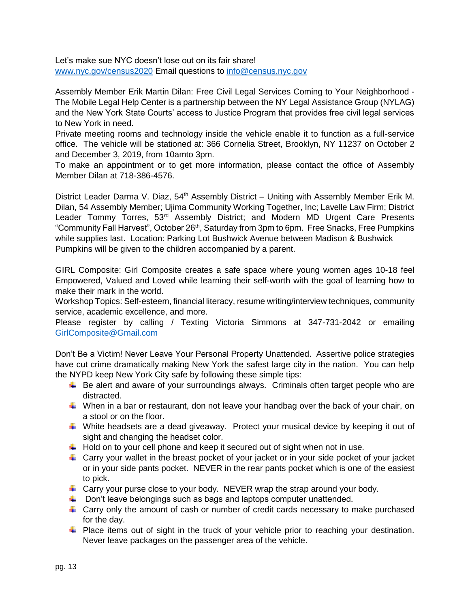Let's make sue NYC doesn't lose out on its fair share! [www.nyc.gov/census2020](http://www.nyc.gov/census2020) Email questions to [info@census.nyc.gov](mailto:info@census.nyc.gov) 

Assembly Member Erik Martin Dilan: Free Civil Legal Services Coming to Your Neighborhood - The Mobile Legal Help Center is a partnership between the NY Legal Assistance Group (NYLAG) and the New York State Courts' access to Justice Program that provides free civil legal services to New York in need.

Private meeting rooms and technology inside the vehicle enable it to function as a full-service office. The vehicle will be stationed at: 366 Cornelia Street, Brooklyn, NY 11237 on October 2 and December 3, 2019, from 10amto 3pm.

To make an appointment or to get more information, please contact the office of Assembly Member Dilan at 718-386-4576.

District Leader Darma V. Diaz, 54<sup>th</sup> Assembly District – Uniting with Assembly Member Erik M. Dilan, 54 Assembly Member; Ujima Community Working Together, Inc; Lavelle Law Firm; District Leader Tommy Torres, 53<sup>rd</sup> Assembly District; and Modern MD Urgent Care Presents "Community Fall Harvest", October 26<sup>th</sup>, Saturday from 3pm to 6pm. Free Snacks, Free Pumpkins while supplies last. Location: Parking Lot Bushwick Avenue between Madison & Bushwick Pumpkins will be given to the children accompanied by a parent.

GIRL Composite: Girl Composite creates a safe space where young women ages 10-18 feel Empowered, Valued and Loved while learning their self-worth with the goal of learning how to make their mark in the world.

Workshop Topics: Self-esteem, financial literacy, resume writing/interview techniques, community service, academic excellence, and more.

Please register by calling / Texting Victoria Simmons at 347-731-2042 or emailing [GirlComposite@Gmail.com](mailto:GirlComposite@Gmail.com)

Don't Be a Victim! Never Leave Your Personal Property Unattended. Assertive police strategies have cut crime dramatically making New York the safest large city in the nation. You can help the NYPD keep New York City safe by following these simple tips:

- $\ddot{\phantom{1}}$  Be alert and aware of your surroundings always. Criminals often target people who are distracted.
- When in a bar or restaurant, don not leave your handbag over the back of your chair, on a stool or on the floor.
- White headsets are a dead giveaway. Protect your musical device by keeping it out of sight and changing the headset color.
- $\downarrow$  Hold on to your cell phone and keep it secured out of sight when not in use.
- $\ddot{\phantom{1}}$  Carry your wallet in the breast pocket of your jacket or in your side pocket of your jacket or in your side pants pocket. NEVER in the rear pants pocket which is one of the easiest to pick.
- **L** Carry your purse close to your body. NEVER wrap the strap around your body.
- $\ddot{\bullet}$  Don't leave belongings such as bags and laptops computer unattended.
- $\ddot{\phantom{1}}$  Carry only the amount of cash or number of credit cards necessary to make purchased for the day.
- $\ddot{\phantom{1}}$  Place items out of sight in the truck of your vehicle prior to reaching your destination. Never leave packages on the passenger area of the vehicle.